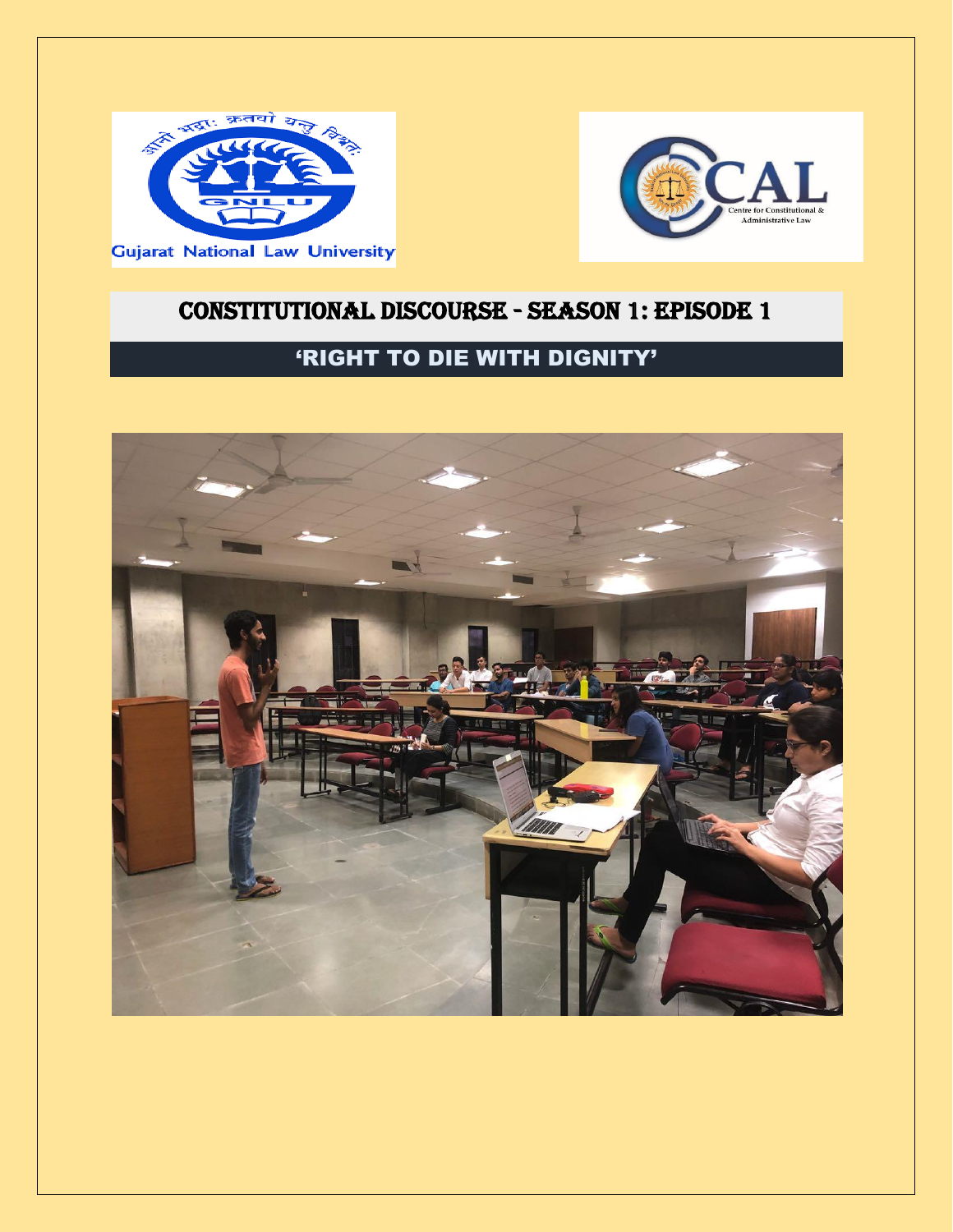



## CONSTITUTIONAL DISCOURSE - SEASON 1: EPISODE 1

## 'RIGHT TO DIE WITH DIGNITY'

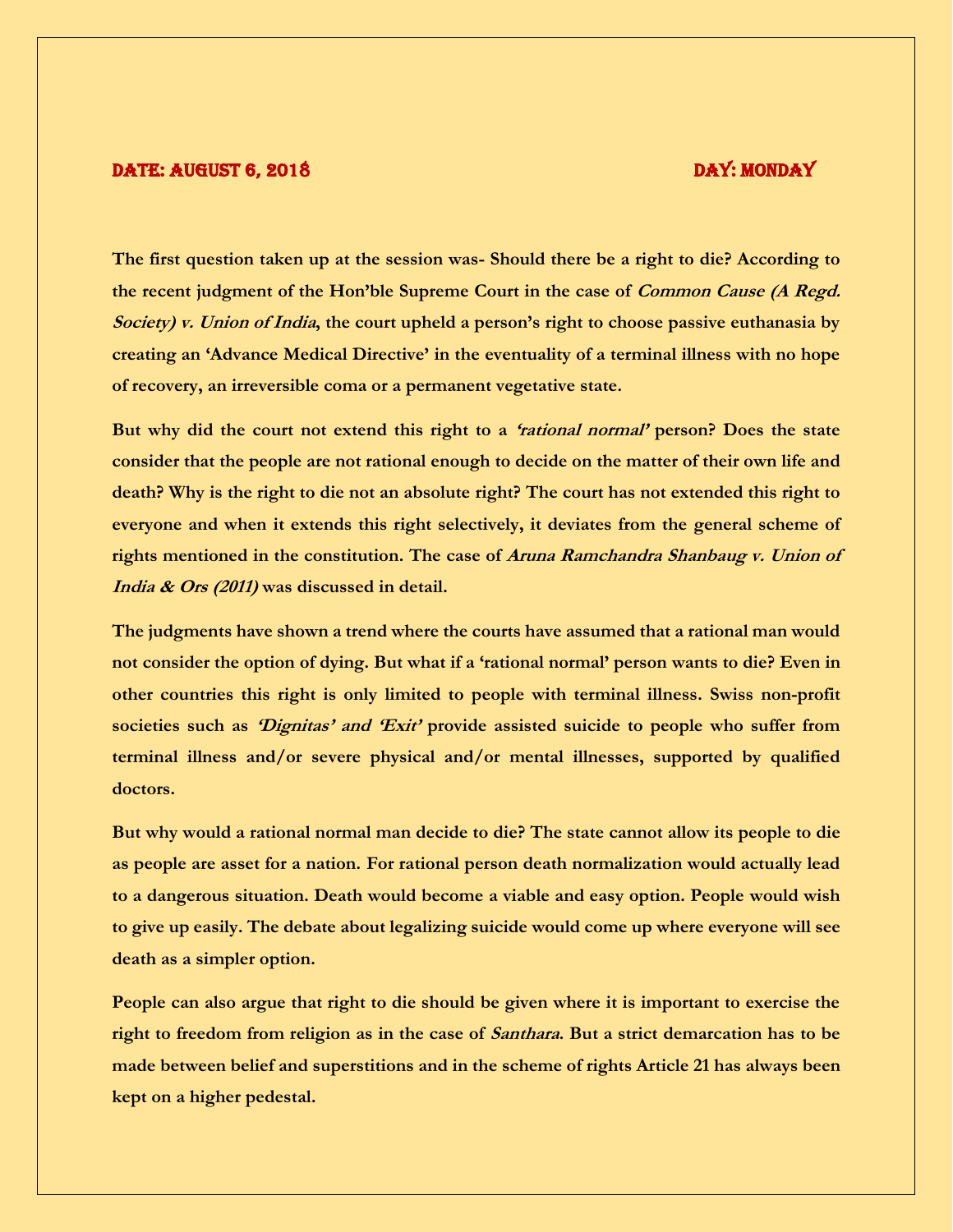## DATE: AUGUST 6, 2018 DAY: MONDAY

**The first question taken up at the session was- Should there be a right to die? According to the recent judgment of the Hon'ble Supreme Court in the case of Common Cause (A Regd. Society) v. Union of India, the court upheld a person's right to choose passive euthanasia by creating an 'Advance Medical Directive' in the eventuality of a terminal illness with no hope of recovery, an irreversible coma or a permanent vegetative state.**

**But why did the court not extend this right to a 'rational normal' person? Does the state consider that the people are not rational enough to decide on the matter of their own life and death? Why is the right to die not an absolute right? The court has not extended this right to everyone and when it extends this right selectively, it deviates from the general scheme of rights mentioned in the constitution. The case of Aruna Ramchandra Shanbaug v. Union of India & Ors (2011) was discussed in detail.**

**The judgments have shown a trend where the courts have assumed that a rational man would not consider the option of dying. But what if a 'rational normal' person wants to die? Even in other countries this right is only limited to people with terminal illness. Swiss non-profit societies such as 'Dignitas' and 'Exit' provide assisted suicide to people who suffer from terminal illness and/or severe physical and/or mental illnesses, supported by qualified doctors.**

**But why would a rational normal man decide to die? The state cannot allow its people to die as people are asset for a nation. For rational person death normalization would actually lead to a dangerous situation. Death would become a viable and easy option. People would wish to give up easily. The debate about legalizing suicide would come up where everyone will see death as a simpler option.** 

**People can also argue that right to die should be given where it is important to exercise the right to freedom from religion as in the case of Santhara. But a strict demarcation has to be made between belief and superstitions and in the scheme of rights Article 21 has always been kept on a higher pedestal.**